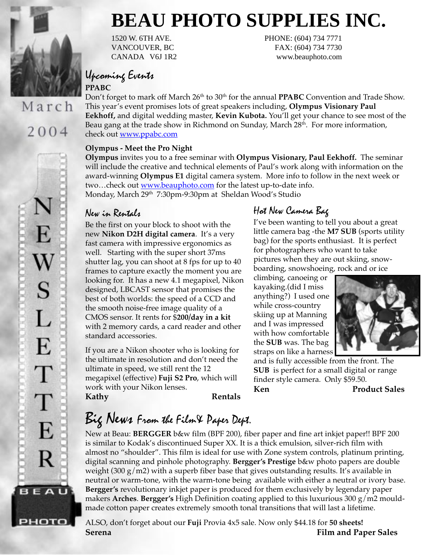

March

# 2004

# **BEAU PHOTO SUPPLIES INC.**

1520 W. 6TH AVE. PHONE: (604) 734 7771 VANCOUVER, BC FAX: (604) 734 7730 CANADA V6J 1R2 www.beauphoto.com

# Upcoming Events

#### **PPABC**

Don't forget to mark off March 26<sup>th</sup> to 30<sup>th</sup> for the annual **PPABC** Convention and Trade Show. This year's event promises lots of great speakers including, **Olympus Visionary Paul Eekhoff,** and digital wedding master, **Kevin Kubota.** You'll get your chance to see most of the Beau gang at the trade show in Richmond on Sunday, March 28<sup>th</sup>. For more information, check out www.ppabc.com

#### **Olympus - Meet the Pro Night**

**Olympus** invites you to a free seminar with **Olympus Visionary, Paul Eekhoff.** The seminar will include the creative and technical elements of Paul's work along with information on the award-winning **Olympus E1** digital camera system. More info to follow in the next week or two...check out www.beauphoto.com for the latest up-to-date info. Monday, March 29<sup>th</sup> 7:30pm-9:30pm at Sheldan Wood's Studio

### New in Rentals

Be the first on your block to shoot with the new **Nikon D2H digital camera**. It's a very fast camera with impressive ergonomics as well. Starting with the super short 37ms shutter lag, you can shoot at 8 fps for up to 40 frames to capture exactly the moment you are looking for. It has a new 4.1 megapixel, Nikon designed, LBCAST sensor that promises the best of both worlds: the speed of a CCD and the smooth noise-free image quality of a CMOS sensor. It rents for \$**200/day in a kit** with 2 memory cards, a card reader and other standard accessories.

If you are a Nikon shooter who is looking for the ultimate in resolution and don't need the ultimate in speed, we still rent the 12 megapixel (effective) **Fuji S2 Pro**, which will work with your Nikon lenses.

**Kathy Rentals**

### Hot New Camera Bag

I've been wanting to tell you about a great little camera bag -the **M7 SUB** (sports utility bag) for the sports enthusiast. It is perfect for photographers who want to take pictures when they are out skiing, snowboarding, snowshoeing, rock and or ice

climbing, canoeing or kayaking.(did I miss anything?) I used one while cross-country skiing up at Manning and I was impressed with how comfortable the **SUB** was. The bag straps on like a harness



and is fully accessible from the front. The **SUB** is perfect for a small digital or range finder style camera. Only \$59.50.

Ken Product Sales

# Big News From the Film& Paper Dept.

New at Beau: **BERGGER** b&w film (BPF 200), fiber paper and fine art inkjet paper!! BPF 200 is similar to Kodak's discontinued Super XX. It is a thick emulsion, silver-rich film with almost no "shoulder". This film is ideal for use with Zone system controls, platinum printing, digital scanning and pinhole photography. **Bergger's Prestige** b&w photo papers are double weight (300 g/m2) with a superb fiber base that gives outstanding results. It's available in neutral or warm-tone, with the warm-tone being available with either a neutral or ivory base. **Bergger's** revolutionary inkjet paper is produced for them exclusively by legendary paper makers **Arches**. **Bergger's** High Definition coating applied to this luxurious 300 g/m2 mouldmade cotton paper creates extremely smooth tonal transitions that will last a lifetime.

ALSO, don't forget about our **Fuji** Provia 4x5 sale. Now only \$44.18 for **50 sheets! Serena Film and Paper Sales**

E  $\bf W$ S L E  $\top$ T E R **BEAU** 

РНОТО